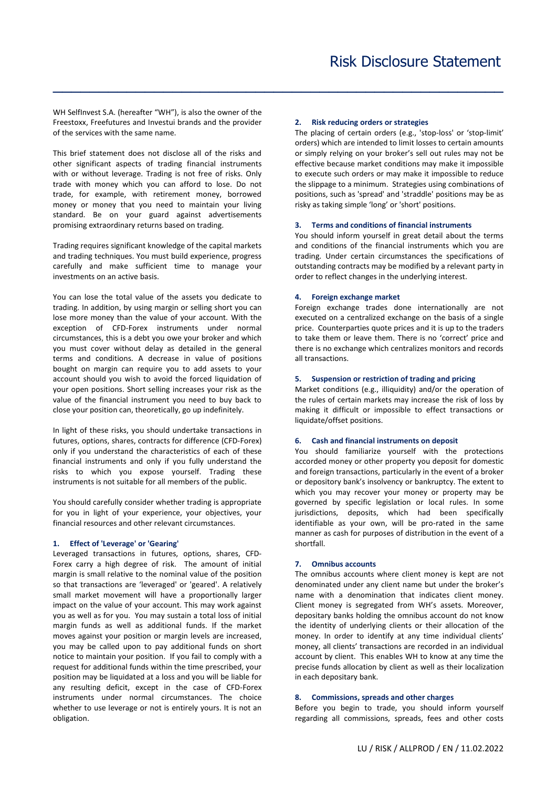WH SelfInvest S.A. (hereafter "WH"), is also the owner of the Freestoxx, Freefutures and Investui brands and the provider of the services with the same name.

This brief statement does not disclose all of the risks and other significant aspects of trading financial instruments with or without leverage. Trading is not free of risks. Only trade with money which you can afford to lose. Do not trade, for example, with retirement money, borrowed money or money that you need to maintain your living standard. Be on your guard against advertisements promising extraordinary returns based on trading.

Trading requires significant knowledge of the capital markets and trading techniques. You must build experience, progress carefully and make sufficient time to manage your investments on an active basis.

You can lose the total value of the assets you dedicate to trading. In addition, by using margin or selling short you can lose more money than the value of your account. With the exception of CFD-Forex instruments under normal circumstances, this is a debt you owe your broker and which you must cover without delay as detailed in the general terms and conditions. A decrease in value of positions bought on margin can require you to add assets to your account should you wish to avoid the forced liquidation of your open positions. Short selling increases your risk as the value of the financial instrument you need to buy back to close your position can, theoretically, go up indefinitely.

In light of these risks, you should undertake transactions in futures, options, shares, contracts for difference (CFD-Forex) only if you understand the characteristics of each of these financial instruments and only if you fully understand the risks to which you expose yourself. Trading these instruments is not suitable for all members of the public.

You should carefully consider whether trading is appropriate for you in light of your experience, your objectives, your financial resources and other relevant circumstances.

# **1. Effect of 'Leverage' or 'Gearing'**

Leveraged transactions in futures, options, shares, CFD-Forex carry a high degree of risk. The amount of initial margin is small relative to the nominal value of the position so that transactions are 'leveraged' or 'geared'. A relatively small market movement will have a proportionally larger impact on the value of your account. This may work against you as well as for you. You may sustain a total loss of initial margin funds as well as additional funds. If the market moves against your position or margin levels are increased, you may be called upon to pay additional funds on short notice to maintain your position. If you fail to comply with a request for additional funds within the time prescribed, your position may be liquidated at a loss and you will be liable for any resulting deficit, except in the case of CFD-Forex instruments under normal circumstances. The choice whether to use leverage or not is entirely yours. It is not an obligation.

### **2. Risk reducing orders or strategies**

\_\_\_\_\_\_\_\_\_\_\_\_\_\_\_\_\_\_\_\_\_\_\_\_\_\_\_\_\_\_\_\_\_\_\_\_\_\_\_\_\_\_\_\_\_\_\_\_\_

The placing of certain orders (e.g., 'stop-loss' or 'stop-limit' orders) which are intended to limit losses to certain amounts or simply relying on your broker's sell out rules may not be effective because market conditions may make it impossible to execute such orders or may make it impossible to reduce the slippage to a minimum. Strategies using combinations of positions, such as 'spread' and 'straddle' positions may be as risky as taking simple 'long' or 'short' positions.

#### **3. Terms and conditions of financial instruments**

You should inform yourself in great detail about the terms and conditions of the financial instruments which you are trading. Under certain circumstances the specifications of outstanding contracts may be modified by a relevant party in order to reflect changes in the underlying interest.

## **4. Foreign exchange market**

Foreign exchange trades done internationally are not executed on a centralized exchange on the basis of a single price. Counterparties quote prices and it is up to the traders to take them or leave them. There is no 'correct' price and there is no exchange which centralizes monitors and records all transactions.

### **5. Suspension or restriction of trading and pricing**

Market conditions (e.g., illiquidity) and/or the operation of the rules of certain markets may increase the risk of loss by making it difficult or impossible to effect transactions or liquidate/offset positions.

# **6. Cash and financial instruments on deposit**

You should familiarize yourself with the protections accorded money or other property you deposit for domestic and foreign transactions, particularly in the event of a broker or depository bank's insolvency or bankruptcy. The extent to which you may recover your money or property may be governed by specific legislation or local rules. In some jurisdictions, deposits, which had been specifically identifiable as your own, will be pro-rated in the same manner as cash for purposes of distribution in the event of a shortfall.

# **7. Omnibus accounts**

The omnibus accounts where client money is kept are not denominated under any client name but under the broker's name with a denomination that indicates client money. Client money is segregated from WH's assets. Moreover, depositary banks holding the omnibus account do not know the identity of underlying clients or their allocation of the money. In order to identify at any time individual clients' money, all clients' transactions are recorded in an individual account by client. This enables WH to know at any time the precise funds allocation by client as well as their localization in each depositary bank.

### **8. Commissions, spreads and other charges**

Before you begin to trade, you should inform yourself regarding all commissions, spreads, fees and other costs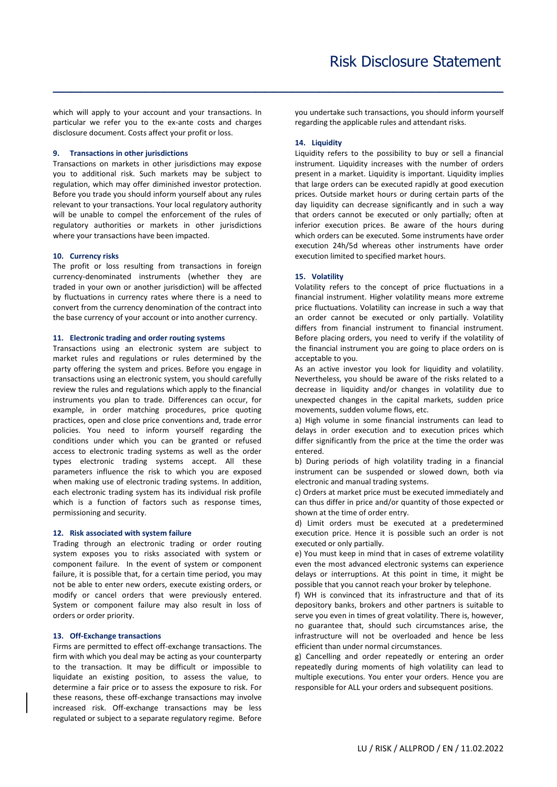which will apply to your account and your transactions. In particular we refer you to the ex-ante costs and charges disclosure document. Costs affect your profit or loss.

# **9. Transactions in other jurisdictions**

Transactions on markets in other jurisdictions may expose you to additional risk. Such markets may be subject to regulation, which may offer diminished investor protection. Before you trade you should inform yourself about any rules relevant to your transactions. Your local regulatory authority will be unable to compel the enforcement of the rules of regulatory authorities or markets in other jurisdictions where your transactions have been impacted.

#### **10. Currency risks**

The profit or loss resulting from transactions in foreign currency-denominated instruments (whether they are traded in your own or another jurisdiction) will be affected by fluctuations in currency rates where there is a need to convert from the currency denomination of the contract into the base currency of your account or into another currency.

### **11. Electronic trading and order routing systems**

Transactions using an electronic system are subject to market rules and regulations or rules determined by the party offering the system and prices. Before you engage in transactions using an electronic system, you should carefully review the rules and regulations which apply to the financial instruments you plan to trade. Differences can occur, for example, in order matching procedures, price quoting practices, open and close price conventions and, trade error policies. You need to inform yourself regarding the conditions under which you can be granted or refused access to electronic trading systems as well as the order types electronic trading systems accept. All these parameters influence the risk to which you are exposed when making use of electronic trading systems. In addition, each electronic trading system has its individual risk profile which is a function of factors such as response times, permissioning and security.

### **12. Risk associated with system failure**

Trading through an electronic trading or order routing system exposes you to risks associated with system or component failure. In the event of system or component failure, it is possible that, for a certain time period, you may not be able to enter new orders, execute existing orders, or modify or cancel orders that were previously entered. System or component failure may also result in loss of orders or order priority.

# **13. Off-Exchange transactions**

Firms are permitted to effect off-exchange transactions. The firm with which you deal may be acting as your counterparty to the transaction. It may be difficult or impossible to liquidate an existing position, to assess the value, to determine a fair price or to assess the exposure to risk. For these reasons, these off-exchange transactions may involve increased risk. Off-exchange transactions may be less regulated or subject to a separate regulatory regime. Before

you undertake such transactions, you should inform yourself regarding the applicable rules and attendant risks.

#### **14. Liquidity**

\_\_\_\_\_\_\_\_\_\_\_\_\_\_\_\_\_\_\_\_\_\_\_\_\_\_\_\_\_\_\_\_\_\_\_\_\_\_\_\_\_\_\_\_\_\_\_\_\_

Liquidity refers to the possibility to buy or sell a financial instrument. Liquidity increases with the number of orders present in a market. Liquidity is important. Liquidity implies that large orders can be executed rapidly at good execution prices. Outside market hours or during certain parts of the day liquidity can decrease significantly and in such a way that orders cannot be executed or only partially; often at inferior execution prices. Be aware of the hours during which orders can be executed. Some instruments have order execution 24h/5d whereas other instruments have order execution limited to specified market hours.

#### **15. Volatility**

Volatility refers to the concept of price fluctuations in a financial instrument. Higher volatility means more extreme price fluctuations. Volatility can increase in such a way that an order cannot be executed or only partially. Volatility differs from financial instrument to financial instrument. Before placing orders, you need to verify if the volatility of the financial instrument you are going to place orders on is acceptable to you.

As an active investor you look for liquidity and volatility. Nevertheless, you should be aware of the risks related to a decrease in liquidity and/or changes in volatility due to unexpected changes in the capital markets, sudden price movements, sudden volume flows, etc.

a) High volume in some financial instruments can lead to delays in order execution and to execution prices which differ significantly from the price at the time the order was entered.

b) During periods of high volatility trading in a financial instrument can be suspended or slowed down, both via electronic and manual trading systems.

c) Orders at market price must be executed immediately and can thus differ in price and/or quantity of those expected or shown at the time of order entry.

d) Limit orders must be executed at a predetermined execution price. Hence it is possible such an order is not executed or only partially.

e) You must keep in mind that in cases of extreme volatility even the most advanced electronic systems can experience delays or interruptions. At this point in time, it might be possible that you cannot reach your broker by telephone.

f) WH is convinced that its infrastructure and that of its depository banks, brokers and other partners is suitable to serve you even in times of great volatility. There is, however, no guarantee that, should such circumstances arise, the infrastructure will not be overloaded and hence be less efficient than under normal circumstances.

g) Cancelling and order repeatedly or entering an order repeatedly during moments of high volatility can lead to multiple executions. You enter your orders. Hence you are responsible for ALL your orders and subsequent positions.